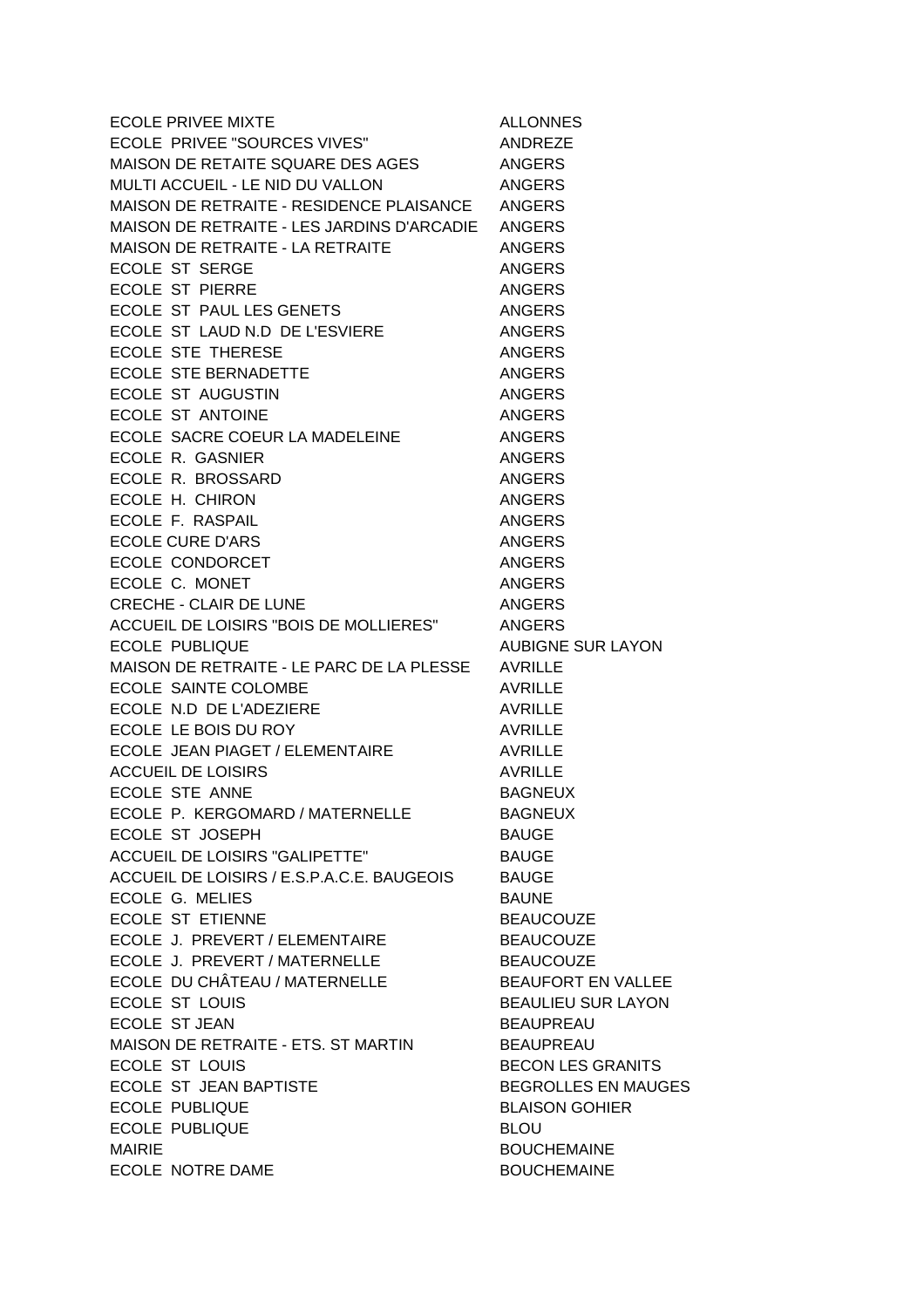| <b>ECOLE PRIVEE MIXTE</b>                       | <b>ALLONNES</b>            |
|-------------------------------------------------|----------------------------|
| ECOLE PRIVEE "SOURCES VIVES"                    | ANDREZE                    |
| MAISON DE RETAITE SQUARE DES AGES               | ANGERS                     |
| MULTI ACCUEIL - LE NID DU VALLON                | ANGERS                     |
| MAISON DE RETRAITE - RESIDENCE PLAISANCE ANGERS |                            |
| MAISON DE RETRAITE - LES JARDINS D'ARCADIE      | <b>ANGERS</b>              |
| MAISON DE RETRAITE - LA RETRAITE                | <b>ANGERS</b>              |
| <b>ECOLE ST SERGE</b>                           | <b>ANGERS</b>              |
| <b>ECOLE ST PIERRE</b>                          | <b>ANGERS</b>              |
| ECOLE ST PAUL LES GENETS                        | <b>ANGERS</b>              |
| ECOLE ST LAUD N.D DE L'ESVIERE                  | ANGERS                     |
| <b>ECOLE STE THERESE</b>                        | <b>ANGERS</b>              |
| ECOLE STE BERNADETTE                            | ANGERS                     |
| ECOLE ST AUGUSTIN                               | <b>ANGERS</b>              |
| ECOLE ST ANTOINE                                | <b>ANGERS</b>              |
| ECOLE SACRE COEUR LA MADELEINE                  | ANGERS                     |
| ECOLE R. GASNIER                                |                            |
|                                                 | <b>ANGERS</b>              |
| ECOLE R. BROSSARD                               | <b>ANGERS</b>              |
| ECOLE H. CHIRON                                 | <b>ANGERS</b>              |
| ECOLE F. RASPAIL                                | <b>ANGERS</b>              |
| <b>ECOLE CURE D'ARS</b>                         | <b>ANGERS</b>              |
| ECOLE CONDORCET                                 | <b>ANGERS</b>              |
| ECOLE C. MONET                                  | <b>ANGERS</b>              |
| CRECHE - CLAIR DE LUNE                          | <b>ANGERS</b>              |
| ACCUEIL DE LOISIRS "BOIS DE MOLLIERES"          | ANGERS                     |
| <b>ECOLE PUBLIQUE</b>                           | <b>AUBIGNE SUR LAYON</b>   |
| MAISON DE RETRAITE - LE PARC DE LA PLESSE       | AVRILLE                    |
| <b>ECOLE SAINTE COLOMBE</b>                     | <b>AVRILLE</b>             |
| ECOLE N.D DE L'ADEZIERE                         | <b>AVRILLE</b>             |
| ECOLE LE BOIS DU ROY                            | <b>AVRILLE</b>             |
| ECOLE JEAN PIAGET / ELEMENTAIRE                 | <b>AVRILLE</b>             |
| <b>ACCUEIL DE LOISIRS</b>                       | <b>AVRILLE</b>             |
| ECOLE STE ANNE                                  | <b>BAGNEUX</b>             |
| ECOLE P. KERGOMARD / MATERNELLE                 | <b>BAGNEUX</b>             |
| ECOLE ST JOSEPH                                 | <b>BAUGE</b>               |
| <b>ACCUEIL DE LOISIRS "GALIPETTE"</b>           | <b>BAUGE</b>               |
| ACCUEIL DE LOISIRS / E.S.P.A.C.E. BAUGEOIS      | <b>BAUGE</b>               |
| ECOLE G. MELIES                                 | <b>BAUNE</b>               |
| <b>ECOLE ST ETIENNE</b>                         | <b>BEAUCOUZE</b>           |
| ECOLE J. PREVERT / ELEMENTAIRE                  | <b>BEAUCOUZE</b>           |
| ECOLE J. PREVERT / MATERNELLE                   | <b>BEAUCOUZE</b>           |
| ECOLE DU CHÂTEAU / MATERNELLE                   | <b>BEAUFORT EN VALLEE</b>  |
| ECOLE ST LOUIS                                  | <b>BEAULIEU SUR LAYON</b>  |
| ECOLE ST JEAN                                   | <b>BEAUPREAU</b>           |
| MAISON DE RETRAITE - ETS. ST MARTIN             | <b>BEAUPREAU</b>           |
| <b>ECOLE ST LOUIS</b>                           | <b>BECON LES GRANITS</b>   |
| ECOLE ST JEAN BAPTISTE                          | <b>BEGROLLES EN MAUGES</b> |
| <b>ECOLE PUBLIQUE</b>                           | <b>BLAISON GOHIER</b>      |
| <b>ECOLE PUBLIQUE</b>                           | <b>BLOU</b>                |
| <b>MAIRIE</b>                                   | <b>BOUCHEMAINE</b>         |
| ECOLE NOTRE DAME                                | <b>BOUCHEMAINE</b>         |
|                                                 |                            |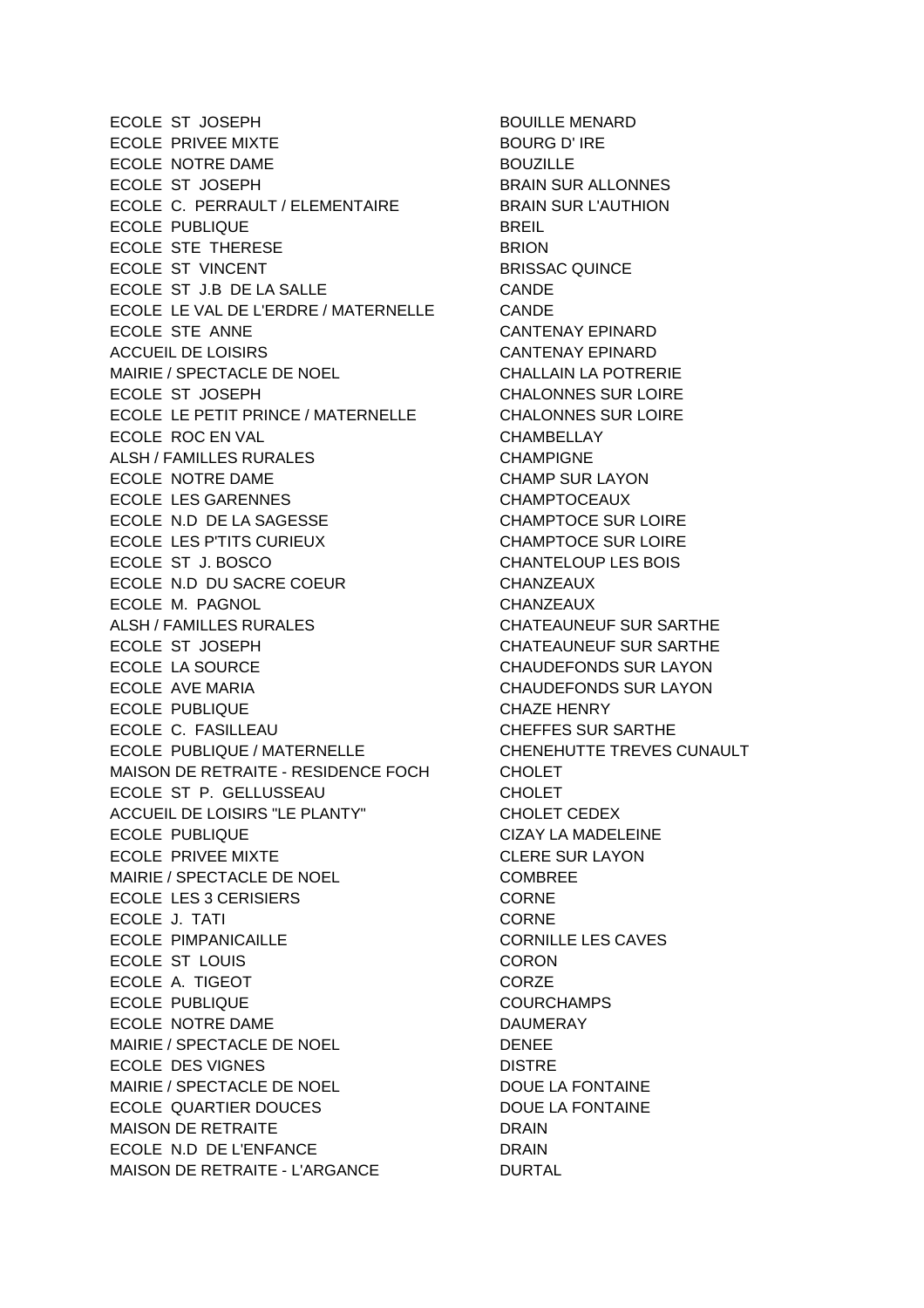ECOLE ST JOSEPH BOUILLE MENARD ECOLE PRIVEE MIXTE **BOURG** D' IRE ECOLE NOTRE DAME BOUZILLE ECOLE ST JOSEPH BRAIN SUR ALLONNES ECOLE C. PERRAULT / ELEMENTAIRE BRAIN SUR L'AUTHION ECOLE PUBLIQUE **BREIL** ECOLE STE THERESE BRION ECOLE ST VINCENT BRISSAC QUINCE ECOLE ST J.B DE LA SALLE CANDE ECOLE LE VAL DE L'ERDRE / MATERNELLE CANDE ECOLE STE ANNE **CANTENAY EPINARD** ACCUEIL DE LOISIRS CANTENAY EPINARD MAIRIE / SPECTACLE DE NOEL CHALLAIN LA POTRERIE ECOLE ST JOSEPH CHALONNES SUR LOIRE ECOLE LE PETIT PRINCE / MATERNELLE CHALONNES SUR LOIRE ECOLE ROC EN VAL CHAMBELLAY ALSH / FAMILLES RURALES **CHAMPIGNE** ECOLE NOTRE DAME CHAMP SUR LAYON ECOLE LES GARENNES CHAMPTOCEAUX ECOLE N.D DE LA SAGESSE CHAMPTOCE SUR LOIRE ECOLE LES P'TITS CURIEUX CHAMPTOCE SUR LOIRE ECOLE ST J. BOSCO CHANTELOUP LES BOIS ECOLE N.D DU SACRE COEUR CHANZEAUX ECOLE M. PAGNOL **CHANZEAUX** ALSH / FAMILLES RURALES **CHATEAUNEUF SUR SARTHE** ECOLE ST JOSEPH CHATEAUNEUF SUR SARTHE ECOLE LA SOURCE CHAUDEFONDS SUR LAYON ECOLE AVE MARIA CHAUDEFONDS SUR LAYON ECOLE PUBLIQUE CHAZE HENRY ECOLE C. FASILLEAU CHEFFES SUR SARTHE ECOLE PUBLIQUE / MATERNELLE CHENEHUTTE TREVES CUNAULT MAISON DE RETRAITE - RESIDENCE FOCH CHOLET ECOLE ST P. GELLUSSEAU CHOLET ACCUEIL DE LOISIRS "LE PLANTY" CHOLET CEDEX ECOLE PUBLIQUE **CIZAY LA MADELEINE** ECOLE PRIVEE MIXTE **CLERE SUR LAYON** MAIRIE / SPECTACLE DE NOEL COMBREE ECOLE LES 3 CERISIERS CORNE ECOLE J. TATI CORNE ECOLE PIMPANICAILLE CORNILLE LES CAVES ECOLE ST LOUIS CORON ECOLE A. TIGEOT CORZE ECOLE PUBLIQUE **COURCHAMPS** ECOLE NOTRE DAME DAU DAUMERAY MAIRIE / SPECTACLE DE NOEL DENEE ECOLE DES VIGNES DISTRE MAIRIE / SPECTACLE DE NOEL DOUE LA FONTAINE ECOLE QUARTIER DOUCES DOUE LA FONTAINE MAISON DE RETRAITE DRAIN ECOLE N.D DE L'ENFANCE DRAIN MAISON DE RETRAITE - L'ARGANCE DURTAL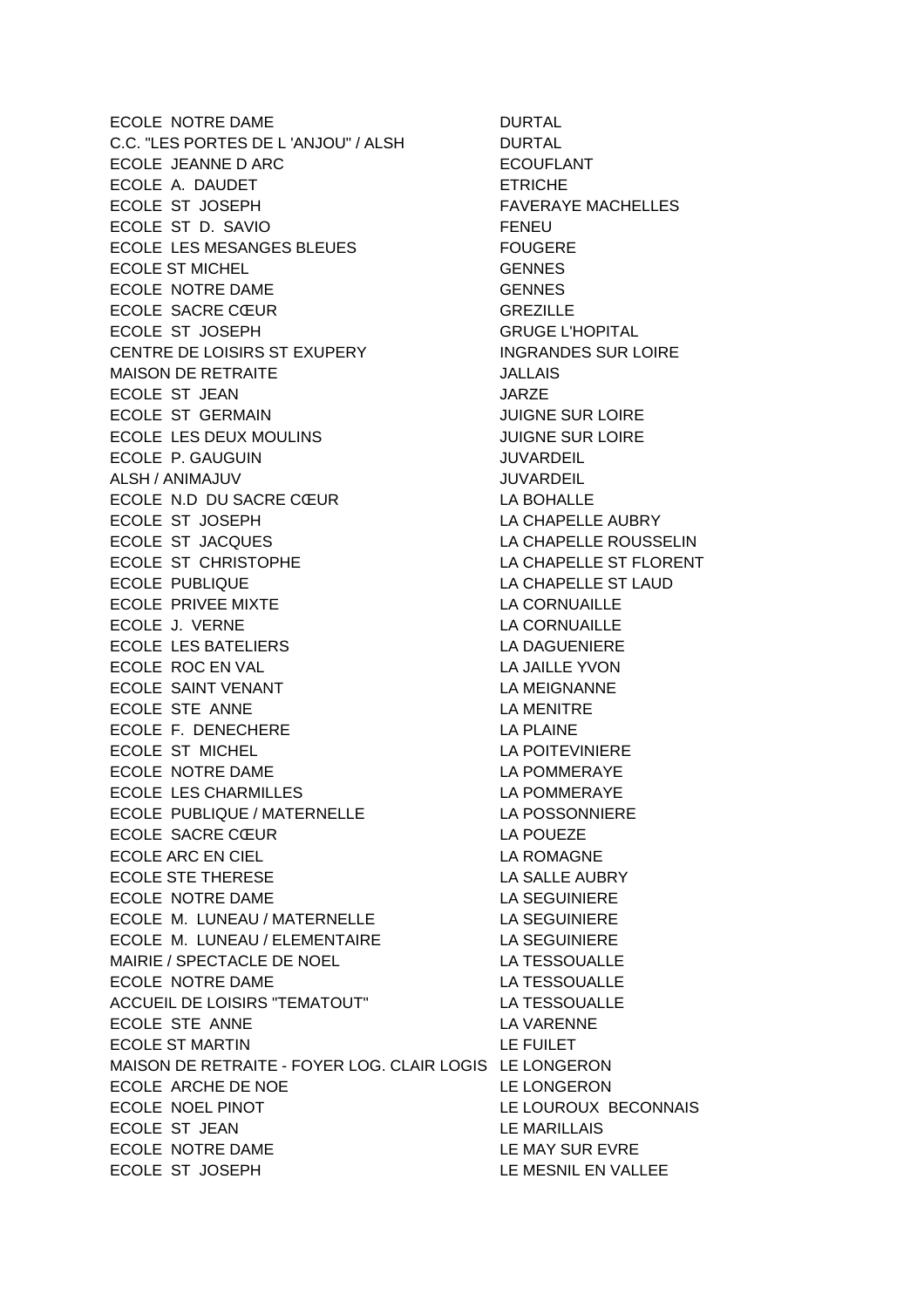ECOLE NOTRE DAME DURTAL C.C. "LES PORTES DE L'ANJOU" / ALSH DURTAL ECOLE JEANNE D ARC **ECOUFLANT** ECOLE A. DAUDET ETRICHE ECOLE ST JOSEPH FAVERAYE MACHELLES ECOLE ST D. SAVIO FENEU ECOLE LES MESANGES BLEUES FOUGERE ECOLE ST MICHEL GENNES ECOLE NOTRE DAME GENNES ECOLE SACRE CŒUR GREZILLE ECOLE ST JOSEPH GRUGE L'HOPITAL CENTRE DE LOISIRS ST EXUPERY INGRANDES SUR LOIRE MAISON DE RETRAITE ECOLE ST JEAN JARZE ECOLE ST GERMAIN JUIGNE SUR LOIRE ECOLE LES DEUX MOULINS JUIGNE SUR LOIRE ECOLE P. GAUGUIN JUVARDEIL ALSH / ANIMAJUV JUVARDEIL ECOLE N.D DU SACRE CŒUR
LA BOHALLE ECOLE ST JOSEPH LA CHAPELLE AUBRY ECOLE ST JACQUES LA CHAPELLE ROUSSELIN ECOLE ST CHRISTOPHE LA CHAPELLE ST FLORENT ECOLE PUBLIQUE **LA CHAPELLE ST LAUD** ECOLE PRIVEE MIXTE **LA CORNUAILLE** ECOLE J. VERNE LA CORNUAILLE ECOLE LES BATELIERS LA DAGUENIERE ECOLE ROC EN VAL **LA JAILLE YVON** ECOLE SAINT VENANT LA MEIGNANNE ECOLE STE ANNE LA MENITRE ECOLE F. DENECHERE LA PLAINE ECOLE ST MICHEL LA POITEVINIERE ECOLE NOTRE DAME **LA POMMERAYE** ECOLE LES CHARMILLES LA POMMERAYE ECOLE PUBLIQUE / MATERNELLE LA POSSONNIERE ECOLE SACRE CŒUR LA POUEZE ECOLE ARC EN CIEL **EXECUTE EN EXECUTE LA ROMAGNE** ECOLE STE THERESE LA SALLE AUBRY ECOLE NOTRE DAME LA SEGUINIERE ECOLE M. LUNEAU / MATERNELLE LA SEGUINIERE ECOLE M. LUNEAU / ELEMENTAIRE LA SEGUINIERE MAIRIE / SPECTACLE DE NOEL LA TESSOUALLE ECOLE NOTRE DAME LA TESSOUALLE ACCUEIL DE LOISIRS "TEMATOUT" LA TESSOUALLE ECOLE STE ANNE LA VARENNE ECOLE ST MARTIN LE FUILET MAISON DE RETRAITE - FOYER LOG. CLAIR LOGIS LE LONGERON ECOLE ARCHE DE NOE LE LONGERON ECOLE NOEL PINOT LE LOUROUX BECONNAIS ECOLE ST JEAN LE MARILLAIS ECOLE NOTRE DAME **LE MAY SUR EVRE** ECOLE ST JOSEPH LE MESNIL EN VALLEE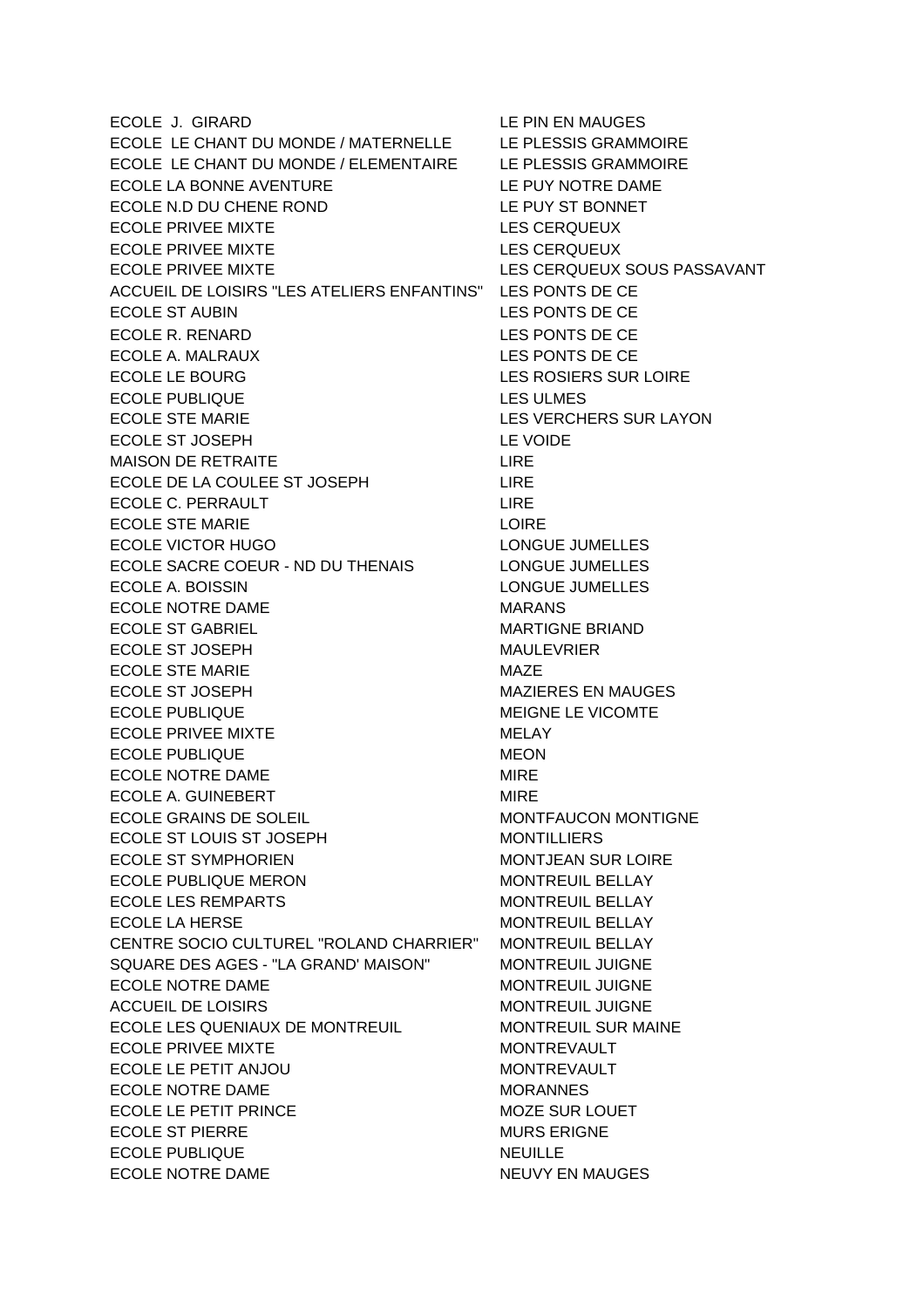ECOLE J. GIRARD LE PIN EN MAUGES ECOLE LE CHANT DU MONDE / MATERNELLE LE PLESSIS GRAMMOIRE ECOLE LE CHANT DU MONDE / ELEMENTAIRE LE PLESSIS GRAMMOIRE ECOLE LA BONNE AVENTURE LE PUY NOTRE DAME ECOLE N.D DU CHENE ROND LE PUY ST BONNET ECOLE PRIVEE MIXTE LES CERQUEUX ECOLE PRIVEE MIXTE LES CERQUEUX ECOLE PRIVEE MIXTE LES CERQUEUX SOUS PASSAVANT ACCUEIL DE LOISIRS "LES ATELIERS ENFANTINS" LES PONTS DE CE ECOLE ST AUBIN LES PONTS DE CE ECOLE R. RENARD LES PONTS DE CE ECOLE A. MALRAUX LES PONTS DE CE ECOLE LE BOURG LES ROSIERS SUR LOIRE ECOLE PUBLIQUE **LES ULMES** ECOLE STE MARIE LES VERCHERS SUR LAYON ECOLE ST JOSEPH LE VOIDE MAISON DE RETRAITE LIRE ECOLE DE LA COULEE ST JOSEPH LIRE ECOLE C. PERRAULT LIRE ECOLE STE MARIE **LOIRE** ECOLE VICTOR HUGO LONGUE JUMELLES ECOLE SACRE COEUR - ND DU THENAIS LONGUE JUMELLES ECOLE A. BOISSIN LONGUE JUMELLES ECOLE NOTRE DAME MARANS ECOLE ST GABRIEL **A COLLET A COLLET A COLLET A COLLET A COLLET** MARTIGNE BRIAND ECOLE ST JOSEPH MAULEVRIER ECOLE STE MARIE MAZE ECOLE ST JOSEPH MAZIERES EN MAUGES ECOLE PUBLIQUE **MEIGNE LE VICOMTE** ECOLE PRIVEE MIXTE MELAY ECOLE PUBLIQUE **MEON** ECOLE NOTRE DAME ECOLE A. GUINEBERT MIRE ECOLE GRAINS DE SOLEIL **EUROPE EN SOLETA** MONTFAUCON MONTIGNE ECOLE ST LOUIS ST JOSEPH MONTILLIERS ECOLE ST SYMPHORIEN MONTJEAN SUR LOIRE ECOLE PUBLIQUE MERON MONTREUIL BELLAY ECOLE LES REMPARTS MONTREUIL BELLAY ECOLE LA HERSE MONTREUIL BELLAY CENTRE SOCIO CULTUREL "ROLAND CHARRIER" MONTREUIL BELLAY SQUARE DES AGES - "LA GRAND' MAISON" MONTREUIL JUIGNE ECOLE NOTRE DAME MONTREUIL JUIGNE ACCUEIL DE LOISIRS MONTREUIL JUIGNE ECOLE LES QUENIAUX DE MONTREUIL MONTREUIL SUR MAINE ECOLE PRIVEE MIXTE MONTREVAULT ECOLE LE PETIT ANJOU MONTREVAULT ECOLE NOTRE DAME MORANNES ECOLE LE PETIT PRINCE NOTE SUR LOUET ECOLE ST PIERRE MURS ERIGNE ECOLE PUBLIQUE NEUILLE ECOLE NOTRE DAME NEUVY EN MAUGES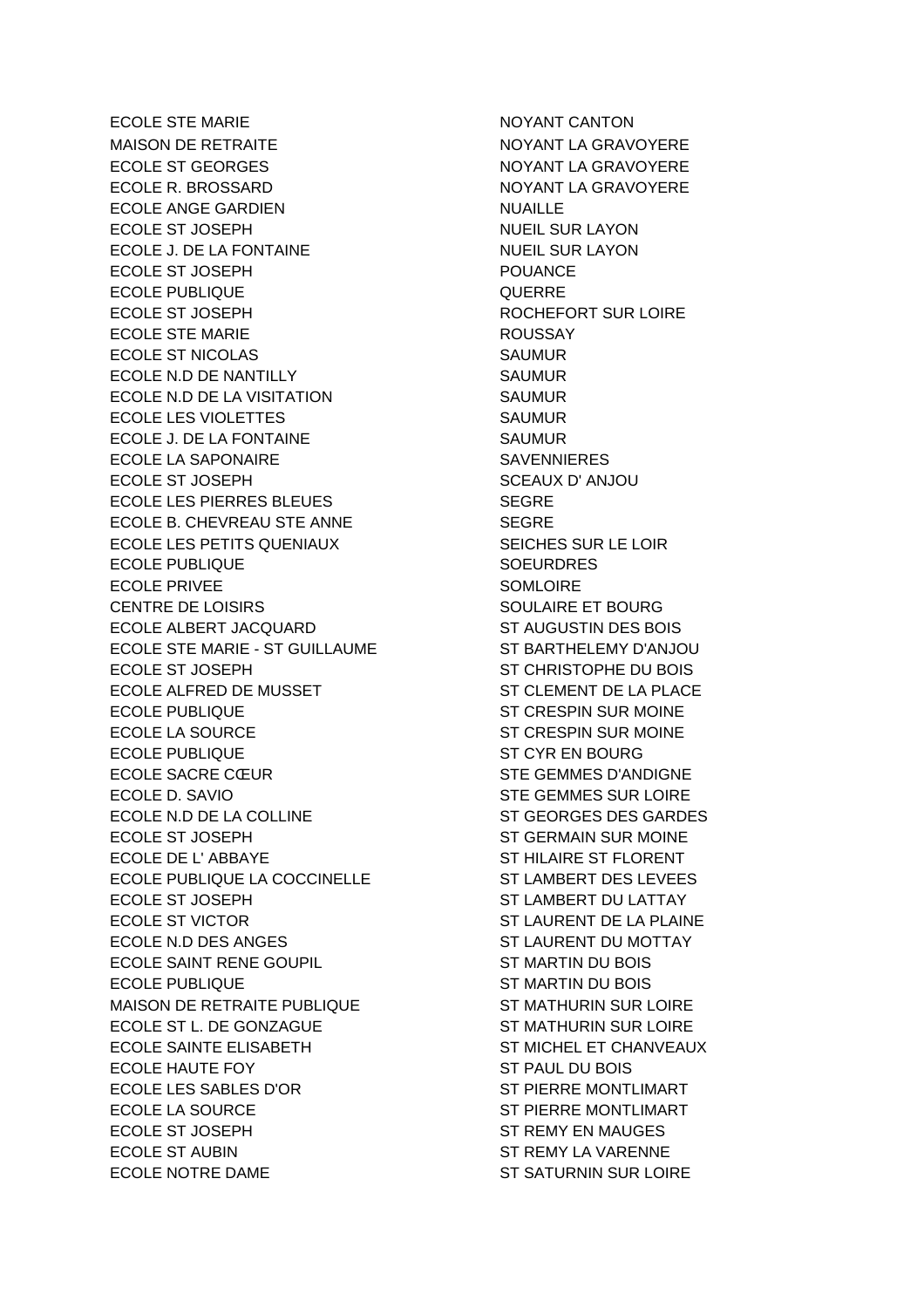ECOLE STE MARIE **NOTAINT CANTON** MAISON DE RETRAITE NOTAL DE NOYANT LA GRAVOYERE ECOLE ST GEORGES NOTHING A GRAVOYERE ECOLE R. BROSSARD NOYANT LA GRAVOYERE ECOLE ANGE GARDIEN NUAILLE ECOLE ST JOSEPH NUEIL SUR LAYON ECOLE J. DE LA FONTAINE NUEL SUR LAYON ECOLE ST JOSEPH POUANCE ECOLE PUBLIQUE QUERRE ECOLE ST JOSEPH ROCHEFORT SUR LOIRE ECOLE STE MARIE **EXAMPLE 2018 ROUSSAY** ECOLE ST NICOLAS SAUMUR ECOLE N.D DE NANTILLY SAUMUR ECOLE N.D DE LA VISITATION SAUMUR ECOLE LES VIOLETTES SAUMUR ECOLE J. DE LA FONTAINE SAUMUR ECOLE LA SAPONAIRE SAVENNIERES ECOLE ST JOSEPH SCEAUX D'ANJOU ECOLE LES PIERRES BLEUES SEGRE ECOLE B. CHEVREAU STE ANNE SEGRE ECOLE LES PETITS QUENIAUX SEICHES SUR LE LOIR ECOLE PUBLIQUE NATIONAL SOEURDRES ECOLE PRIVEE SOMLOIRE CENTRE DE LOISIRS SOULAIRE ET BOURG ECOLE ALBERT JACQUARD ST AUGUSTIN DES BOIS ECOLE STE MARIE - ST GUILLAUME ST BARTHELEMY D'ANJOU ECOLE ST JOSEPH ST CHRISTOPHE DU BOIS ECOLE ALFRED DE MUSSET ST CLEMENT DE LA PLACE ECOLE PUBLIQUE ST CRESPIN SUR MOINE ECOLE LA SOURCE ST CRESPIN SUR MOINE ECOLE PUBLIQUE **ST CYR EN BOURG** ECOLE SACRE CŒUR
STE GEMMES D'ANDIGNE ECOLE D. SAVIO STE GEMMES SUR LOIRE ECOLE N.D DE LA COLLINE ST GEORGES DES GARDES ECOLE ST JOSEPH ST GERMAIN SUR MOINE ECOLE DE L'ABBAYE ST HILAIRE ST FLORENT ECOLE PUBLIQUE LA COCCINELLE ST LAMBERT DES LEVEES ECOLE ST JOSEPH ST LAMBERT DU LATTAY ECOLE ST VICTOR ST LAURENT DE LA PLAINE ECOLE N.D DES ANGES STEAD AND ST LAURENT DU MOTTAY ECOLE SAINT RENE GOUPIL ST MARTIN DU BOIS ECOLE PUBLIQUE **ST MARTIN DU BOIS** MAISON DE RETRAITE PUBLIQUE ST MATHURIN SUR LOIRE ECOLE ST L. DE GONZAGUE ST ST MATHURIN SUR LOIRE ECOLE SAINTE ELISABETH ST MICHEL ET CHANVEAUX ECOLE HAUTE FOY ST PAUL DU BOIS ECOLE LES SABLES D'OR ST PIERRE MONTLIMART ECOLE LA SOURCE ST PIERRE MONTLIMART ECOLE ST JOSEPH ST REMY EN MAUGES ECOLE ST AUBIN STREMY LA VARENNE ECOLE NOTRE DAME ST SATURNIN SUR LOIRE